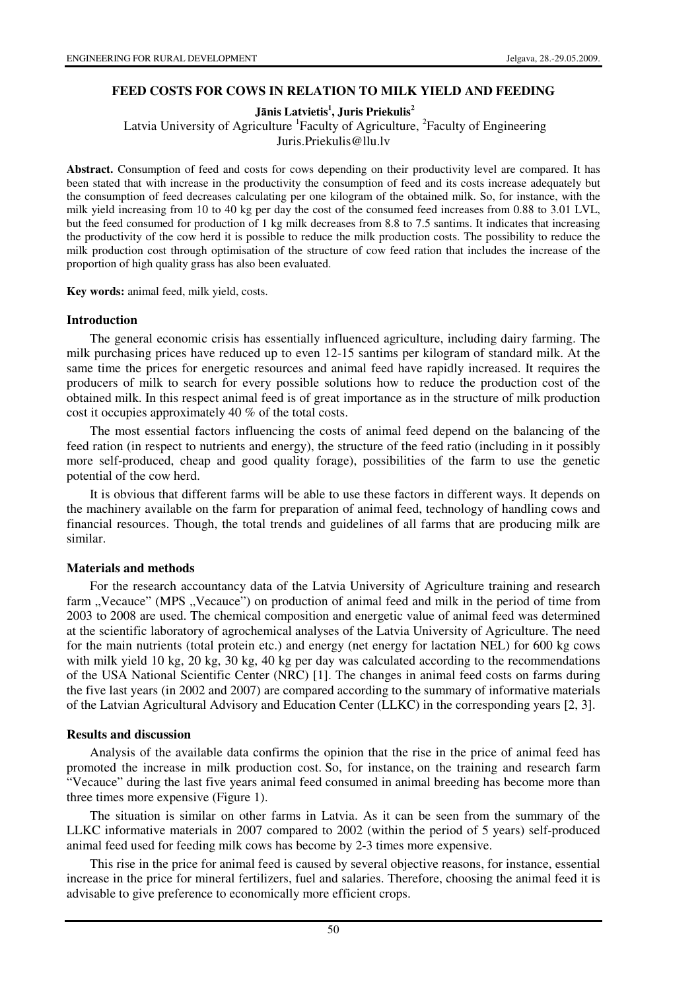### **FEED COSTS FOR COWS IN RELATION TO MILK YIELD AND FEEDING**

 **J**ā**nis Latvietis<sup>1</sup> , Juris Priekulis<sup>2</sup>**

Latvia University of Agriculture <sup>1</sup> Faculty of Agriculture, <sup>2</sup> Faculty of Engineering

Juris.Priekulis@llu.lv

**Abstract.** Consumption of feed and costs for cows depending on their productivity level are compared. It has been stated that with increase in the productivity the consumption of feed and its costs increase adequately but the consumption of feed decreases calculating per one kilogram of the obtained milk. So, for instance, with the milk yield increasing from 10 to 40 kg per day the cost of the consumed feed increases from 0.88 to 3.01 LVL, but the feed consumed for production of 1 kg milk decreases from 8.8 to 7.5 santims. It indicates that increasing the productivity of the cow herd it is possible to reduce the milk production costs. The possibility to reduce the milk production cost through optimisation of the structure of cow feed ration that includes the increase of the proportion of high quality grass has also been evaluated.

**Key words:** animal feed, milk yield, costs.

#### **Introduction**

The general economic crisis has essentially influenced agriculture, including dairy farming. The milk purchasing prices have reduced up to even 12-15 santims per kilogram of standard milk. At the same time the prices for energetic resources and animal feed have rapidly increased. It requires the producers of milk to search for every possible solutions how to reduce the production cost of the obtained milk. In this respect animal feed is of great importance as in the structure of milk production cost it occupies approximately 40 % of the total costs.

The most essential factors influencing the costs of animal feed depend on the balancing of the feed ration (in respect to nutrients and energy), the structure of the feed ratio (including in it possibly more self-produced, cheap and good quality forage), possibilities of the farm to use the genetic potential of the cow herd.

It is obvious that different farms will be able to use these factors in different ways. It depends on the machinery available on the farm for preparation of animal feed, technology of handling cows and financial resources. Though, the total trends and guidelines of all farms that are producing milk are similar.

### **Materials and methods**

For the research accountancy data of the Latvia University of Agriculture training and research farm "Vecauce" (MPS "Vecauce") on production of animal feed and milk in the period of time from 2003 to 2008 are used. The chemical composition and energetic value of animal feed was determined at the scientific laboratory of agrochemical analyses of the Latvia University of Agriculture. The need for the main nutrients (total protein etc.) and energy (net energy for lactation NEL) for 600 kg cows with milk yield 10 kg, 20 kg, 30 kg, 40 kg per day was calculated according to the recommendations of the USA National Scientific Center (NRC) [1]. The changes in animal feed costs on farms during the five last years (in 2002 and 2007) are compared according to the summary of informative materials of the Latvian Agricultural Advisory and Education Center (LLKC) in the corresponding years [2, 3].

#### **Results and discussion**

Analysis of the available data confirms the opinion that the rise in the price of animal feed has promoted the increase in milk production cost. So, for instance, on the training and research farm "Vecauce" during the last five years animal feed consumed in animal breeding has become more than three times more expensive (Figure 1).

The situation is similar on other farms in Latvia. As it can be seen from the summary of the LLKC informative materials in 2007 compared to 2002 (within the period of 5 years) self-produced animal feed used for feeding milk cows has become by 2-3 times more expensive.

This rise in the price for animal feed is caused by several objective reasons, for instance, essential increase in the price for mineral fertilizers, fuel and salaries. Therefore, choosing the animal feed it is advisable to give preference to economically more efficient crops.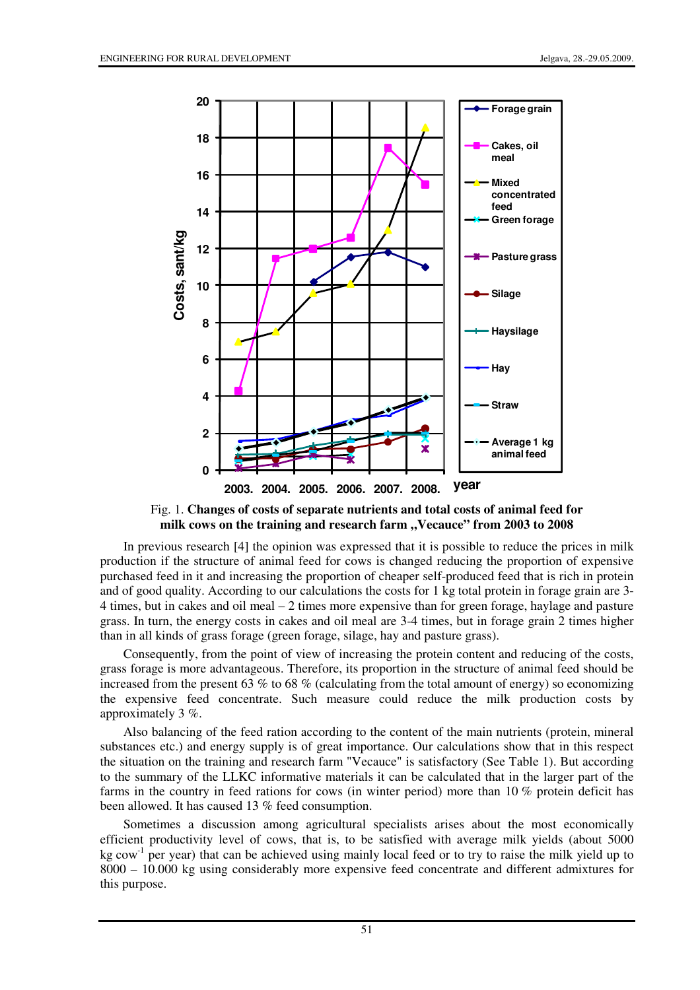

Fig. 1. **Changes of costs of separate nutrients and total costs of animal feed for**  milk cows on the training and research farm "Vecauce" from 2003 to 2008

In previous research [4] the opinion was expressed that it is possible to reduce the prices in milk production if the structure of animal feed for cows is changed reducing the proportion of expensive purchased feed in it and increasing the proportion of cheaper self-produced feed that is rich in protein and of good quality. According to our calculations the costs for 1 kg total protein in forage grain are 3- 4 times, but in cakes and oil meal – 2 times more expensive than for green forage, haylage and pasture grass. In turn, the energy costs in cakes and oil meal are 3-4 times, but in forage grain 2 times higher than in all kinds of grass forage (green forage, silage, hay and pasture grass).

Consequently, from the point of view of increasing the protein content and reducing of the costs, grass forage is more advantageous. Therefore, its proportion in the structure of animal feed should be increased from the present 63  $%$  to 68  $%$  (calculating from the total amount of energy) so economizing the expensive feed concentrate. Such measure could reduce the milk production costs by approximately 3 %.

Also balancing of the feed ration according to the content of the main nutrients (protein, mineral substances etc.) and energy supply is of great importance. Our calculations show that in this respect the situation on the training and research farm "Vecauce" is satisfactory (See Table 1). But according to the summary of the LLKC informative materials it can be calculated that in the larger part of the farms in the country in feed rations for cows (in winter period) more than 10 % protein deficit has been allowed. It has caused 13 % feed consumption.

Sometimes a discussion among agricultural specialists arises about the most economically efficient productivity level of cows, that is, to be satisfied with average milk yields (about 5000  $kg \text{ cow}^{-1}$  per year) that can be achieved using mainly local feed or to try to raise the milk yield up to 8000 – 10.000 kg using considerably more expensive feed concentrate and different admixtures for this purpose.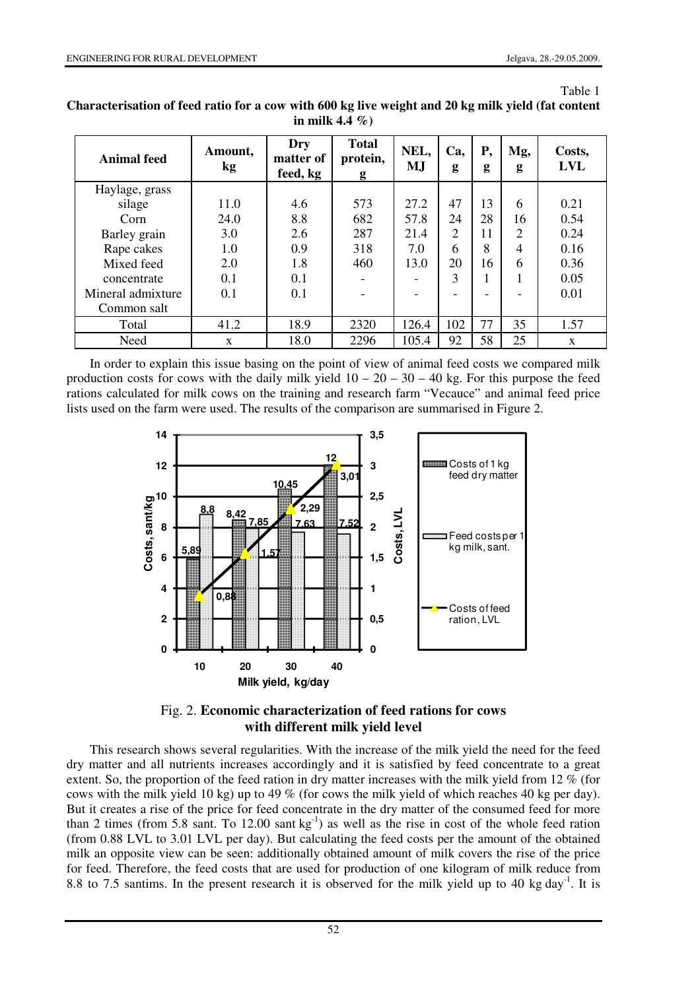Table 1

| <b>Animal feed</b> | Amount,<br>kg | Dry<br>matter of<br>feed, kg | <b>Total</b><br>protein,<br>g | NEL,<br>M,J | Ca,<br>g                 | Р,<br>g | Mg,<br>g       | Costs,<br><b>LVL</b> |
|--------------------|---------------|------------------------------|-------------------------------|-------------|--------------------------|---------|----------------|----------------------|
| Haylage, grass     |               |                              |                               |             |                          |         |                |                      |
| silage             | 11.0          | 4.6                          | 573                           | 27.2        | 47                       | 13      | 6              | 0.21                 |
| Corn               | 24.0          | 8.8                          | 682                           | 57.8        | 24                       | 28      | 16             | 0.54                 |
| Barley grain       | 3.0           | 2.6                          | 287                           | 21.4        | 2                        | 11      | $\overline{2}$ | 0.24                 |
| Rape cakes         | 1.0           | 0.9                          | 318                           | 7.0         | 6                        | 8       | 4              | 0.16                 |
| Mixed feed         | 2.0           | 1.8                          | 460                           | 13.0        | 20                       | 16      | 6              | 0.36                 |
| concentrate        | 0.1           | 0.1                          |                               |             | 3                        |         |                | 0.05                 |
| Mineral admixture  | 0.1           | 0.1                          |                               |             | $\overline{\phantom{0}}$ |         |                | 0.01                 |
| Common salt        |               |                              |                               |             |                          |         |                |                      |
| Total              | 41.2          | 18.9                         | 2320                          | 126.4       | 102                      | 77      | 35             | 1.57                 |
| Need               | X             | 18.0                         | 2296                          | 105.4       | 92                       | 58      | 25             | $\mathbf{x}$         |

**Characterisation of feed ratio for a cow with 600 kg live weight and 20 kg milk yield (fat content in milk 4.4 %)** 

In order to explain this issue basing on the point of view of animal feed costs we compared milk production costs for cows with the daily milk yield  $10 - 20 - 30 - 40$  kg. For this purpose the feed rations calculated for milk cows on the training and research farm "Vecauce" and animal feed price lists used on the farm were used. The results of the comparison are summarised in Figure 2.



# Fig. 2. **Economic characterization of feed rations for cows with different milk yield level**

This research shows several regularities. With the increase of the milk yield the need for the feed dry matter and all nutrients increases accordingly and it is satisfied by feed concentrate to a great extent. So, the proportion of the feed ration in dry matter increases with the milk yield from 12 % (for cows with the milk yield 10 kg) up to 49 % (for cows the milk yield of which reaches 40 kg per day). But it creates a rise of the price for feed concentrate in the dry matter of the consumed feed for more than 2 times (from 5.8 sant. To 12.00 sant  $kg^{-1}$ ) as well as the rise in cost of the whole feed ration (from 0.88 LVL to 3.01 LVL per day). But calculating the feed costs per the amount of the obtained milk an opposite view can be seen: additionally obtained amount of milk covers the rise of the price for feed. Therefore, the feed costs that are used for production of one kilogram of milk reduce from 8.8 to 7.5 santims. In the present research it is observed for the milk yield up to 40 kg day<sup>-1</sup>. It is